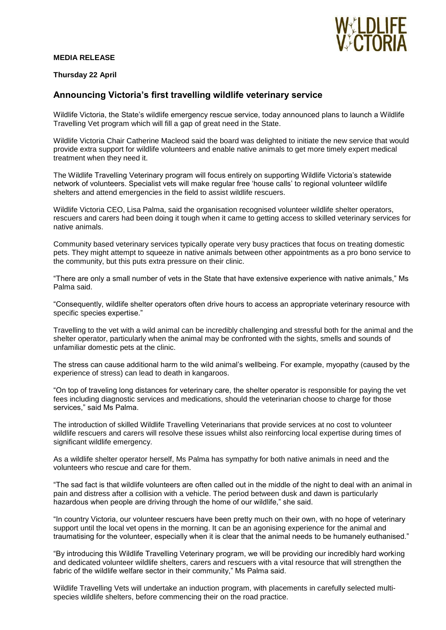### **MEDIA RELEASE**



### **Thursday 22 April**

# **Announcing Victoria's first travelling wildlife veterinary service**

Wildlife Victoria, the State's wildlife emergency rescue service, today announced plans to launch a Wildlife Travelling Vet program which will fill a gap of great need in the State.

Wildlife Victoria Chair Catherine Macleod said the board was delighted to initiate the new service that would provide extra support for wildlife volunteers and enable native animals to get more timely expert medical treatment when they need it.

The Wildlife Travelling Veterinary program will focus entirely on supporting Wildlife Victoria's statewide network of volunteers. Specialist vets will make regular free 'house calls' to regional volunteer wildlife shelters and attend emergencies in the field to assist wildlife rescuers.

Wildlife Victoria CEO, Lisa Palma, said the organisation recognised volunteer wildlife shelter operators, rescuers and carers had been doing it tough when it came to getting access to skilled veterinary services for native animals.

Community based veterinary services typically operate very busy practices that focus on treating domestic pets. They might attempt to squeeze in native animals between other appointments as a pro bono service to the community, but this puts extra pressure on their clinic.

"There are only a small number of vets in the State that have extensive experience with native animals," Ms Palma said.

"Consequently, wildlife shelter operators often drive hours to access an appropriate veterinary resource with specific species expertise."

Travelling to the vet with a wild animal can be incredibly challenging and stressful both for the animal and the shelter operator, particularly when the animal may be confronted with the sights, smells and sounds of unfamiliar domestic pets at the clinic.

The stress can cause additional harm to the wild animal's wellbeing. For example, myopathy (caused by the experience of stress) can lead to death in kangaroos.

"On top of traveling long distances for veterinary care, the shelter operator is responsible for paying the vet fees including diagnostic services and medications, should the veterinarian choose to charge for those services," said Ms Palma.

The introduction of skilled Wildlife Travelling Veterinarians that provide services at no cost to volunteer wildlife rescuers and carers will resolve these issues whilst also reinforcing local expertise during times of significant wildlife emergency.

As a wildlife shelter operator herself, Ms Palma has sympathy for both native animals in need and the volunteers who rescue and care for them.

"The sad fact is that wildlife volunteers are often called out in the middle of the night to deal with an animal in pain and distress after a collision with a vehicle. The period between dusk and dawn is particularly hazardous when people are driving through the home of our wildlife," she said.

"In country Victoria, our volunteer rescuers have been pretty much on their own, with no hope of veterinary support until the local vet opens in the morning. It can be an agonising experience for the animal and traumatising for the volunteer, especially when it is clear that the animal needs to be humanely euthanised."

"By introducing this Wildlife Travelling Veterinary program, we will be providing our incredibly hard working and dedicated volunteer wildlife shelters, carers and rescuers with a vital resource that will strengthen the fabric of the wildlife welfare sector in their community," Ms Palma said.

Wildlife Travelling Vets will undertake an induction program, with placements in carefully selected multispecies wildlife shelters, before commencing their on the road practice.